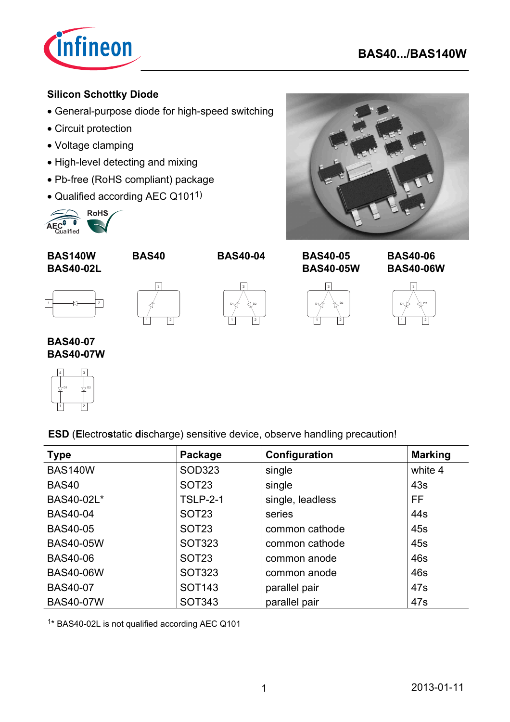

### **Silicon Schottky Diode**

- General-purpose diode for high-speed switching
- Circuit protection
- Voltage clamping
- High-level detecting and mixing
- Pb-free (RoHS compliant) package
- Qualified according AEC Q1011)



**BAS140W BAS40 BAS40-04**



**BAS40-02L**





**BAS40-05 BAS40-05W**



**BAS40-06 BAS40-06W**



**BAS40-07 BAS40-07W**



**ESD** (**E**lectro**s**tatic **d**ischarge) sensitive device, observe handling precaution!

| <b>Type</b>      | Package           | Configuration    | <b>Marking</b> |
|------------------|-------------------|------------------|----------------|
| <b>BAS140W</b>   | <b>SOD323</b>     | single           | white 4        |
| <b>BAS40</b>     | SOT <sub>23</sub> | single           | 43s            |
| BAS40-02L*       | <b>TSLP-2-1</b>   | single, leadless | <b>FF</b>      |
| <b>BAS40-04</b>  | SOT <sub>23</sub> | series           | 44s            |
| <b>BAS40-05</b>  | SOT <sub>23</sub> | common cathode   | 45s            |
| <b>BAS40-05W</b> | <b>SOT323</b>     | common cathode   | 45s            |
| <b>BAS40-06</b>  | SOT <sub>23</sub> | common anode     | 46s            |
| <b>BAS40-06W</b> | <b>SOT323</b>     | common anode     | 46s            |
| <b>BAS40-07</b>  | <b>SOT143</b>     | parallel pair    | 47s            |
| <b>BAS40-07W</b> | <b>SOT343</b>     | parallel pair    | 47s            |

1\* BAS40-02L is not qualified according AEC Q101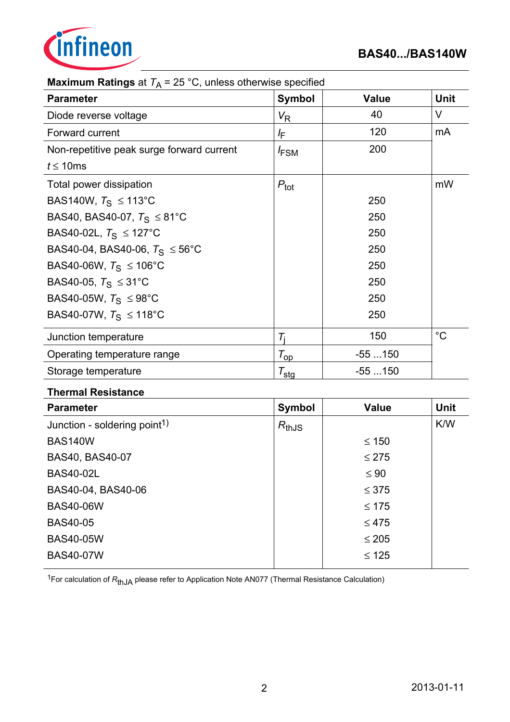

| <b>Maximum Ratings</b> at $T_A = 25$ C, unless otherwise specified |                     |              |             |  |  |  |
|--------------------------------------------------------------------|---------------------|--------------|-------------|--|--|--|
| <b>Parameter</b>                                                   | <b>Symbol</b>       | <b>Value</b> | <b>Unit</b> |  |  |  |
| Diode reverse voltage                                              | $V_{\mathsf{R}}$    | 40           | $\vee$      |  |  |  |
| Forward current                                                    | lF.                 | 120          | mA          |  |  |  |
| Non-repetitive peak surge forward current                          | <sup>I</sup> FSM    | 200          |             |  |  |  |
| $t \leq 10$ ms                                                     |                     |              |             |  |  |  |
| Total power dissipation                                            | $P_{\text{tot}}$    |              | mW          |  |  |  |
| BAS140W, $T_S \le 113^{\circ}$ C                                   |                     | 250          |             |  |  |  |
| BAS40, BAS40-07, $T_S \leq 81^{\circ}$ C                           |                     | 250          |             |  |  |  |
| BAS40-02L, $T_S \leq 127^{\circ}$ C                                |                     | 250          |             |  |  |  |
| BAS40-04, BAS40-06, $T_S \le 56^{\circ}$ C                         |                     | 250          |             |  |  |  |
| BAS40-06W, $T_S \le 106^{\circ}$ C                                 |                     | 250          |             |  |  |  |
| BAS40-05, $T_S$ ≤ 31°C                                             |                     | 250          |             |  |  |  |
| BAS40-05W, $T_S \leq 98^{\circ}$ C                                 |                     | 250          |             |  |  |  |
| BAS40-07W, $T_S \le 118^{\circ}$ C                                 |                     | 250          |             |  |  |  |
| Junction temperature                                               | $\tau_{\rm i}$      | 150          | $^{\circ}C$ |  |  |  |
| Operating temperature range                                        | $T_{op}$            | $-55150$     |             |  |  |  |
| Storage temperature                                                | $\tau_{\text{stg}}$ | $-55150$     |             |  |  |  |
|                                                                    |                     |              |             |  |  |  |

**Matings of**  $T = 25 \degree C$ **, unless otherwise specified** 

#### **Thermal Resistance**

| <b>Parameter</b>                         | <b>Symbol</b> | <b>Value</b> | <b>Unit</b> |
|------------------------------------------|---------------|--------------|-------------|
| Junction - soldering point <sup>1)</sup> | $R_{thJS}$    |              | K/W         |
| <b>BAS140W</b>                           |               | $\leq 150$   |             |
| BAS40, BAS40-07                          |               | $\leq$ 275   |             |
| <b>BAS40-02L</b>                         |               | $\leq 90$    |             |
| BAS40-04, BAS40-06                       |               | $\leq 375$   |             |
| <b>BAS40-06W</b>                         |               | $\leq 175$   |             |
| <b>BAS40-05</b>                          |               | $\leq 475$   |             |
| <b>BAS40-05W</b>                         |               | $\leq 205$   |             |
| <b>BAS40-07W</b>                         |               | $\leq 125$   |             |

<sup>1</sup>For calculation of  $R_{thJA}$  please refer to Application Note AN077 (Thermal Resistance Calculation)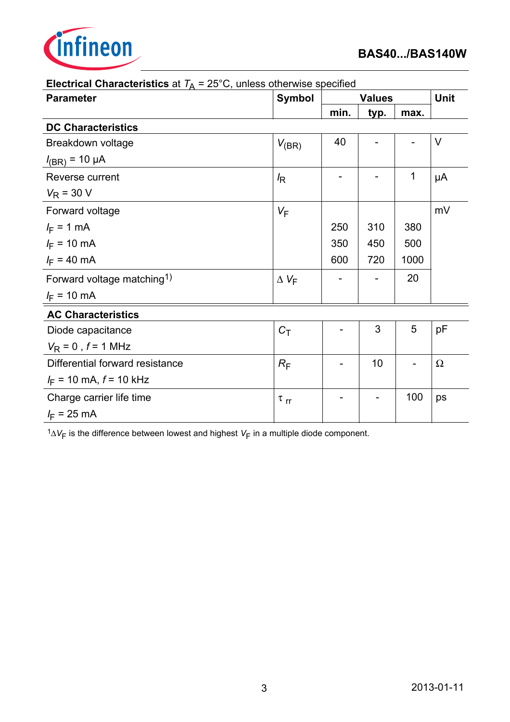

| <b>Electrical Unaracteristics</b> at $T_A = 25$ U, unless otherwise specified |                      |               |      |             |          |
|-------------------------------------------------------------------------------|----------------------|---------------|------|-------------|----------|
| <b>Parameter</b>                                                              | <b>Symbol</b>        | <b>Values</b> |      | <b>Unit</b> |          |
|                                                                               |                      | min.          | typ. | max.        |          |
| <b>DC Characteristics</b>                                                     |                      |               |      |             |          |
| Breakdown voltage                                                             | $V_{(BR)}$           | 40            |      |             | $\vee$   |
| $I_{(BR)} = 10 \mu A$                                                         |                      |               |      |             |          |
| Reverse current                                                               | $\sqrt{R}$           |               |      | 1           | μA       |
| $V_R$ = 30 V                                                                  |                      |               |      |             |          |
| Forward voltage                                                               | $V_F$                |               |      |             | mV       |
| $I_F = 1$ mA                                                                  |                      | 250           | 310  | 380         |          |
| $I_F = 10 \text{ mA}$                                                         |                      | 350           | 450  | 500         |          |
| $I_F = 40 \text{ mA}$                                                         |                      | 600           | 720  | 1000        |          |
| Forward voltage matching <sup>1)</sup>                                        | $\Delta V_F$         |               |      | 20          |          |
| $I_F = 10$ mA                                                                 |                      |               |      |             |          |
| <b>AC Characteristics</b>                                                     |                      |               |      |             |          |
| Diode capacitance                                                             | $C_T$                |               | 3    | 5           | pF       |
| $V_R = 0$ , $f = 1$ MHz                                                       |                      |               |      |             |          |
| Differential forward resistance                                               | $R_{\mathsf{F}}$     |               | 10   |             | $\Omega$ |
| $I_F$ = 10 mA, $f$ = 10 kHz                                                   |                      |               |      |             |          |
| Charge carrier life time                                                      | $\tau$ <sub>rr</sub> |               |      | 100         | ps       |
| $I_F$ = 25 mA                                                                 |                      |               |      |             |          |

 $\epsilon$ **Characteristics** at  $T<sub>0</sub> = 25$ °C, unless otherwise specified

 $1\Delta V_F$  is the difference between lowest and highest  $V_F$  in a multiple diode component.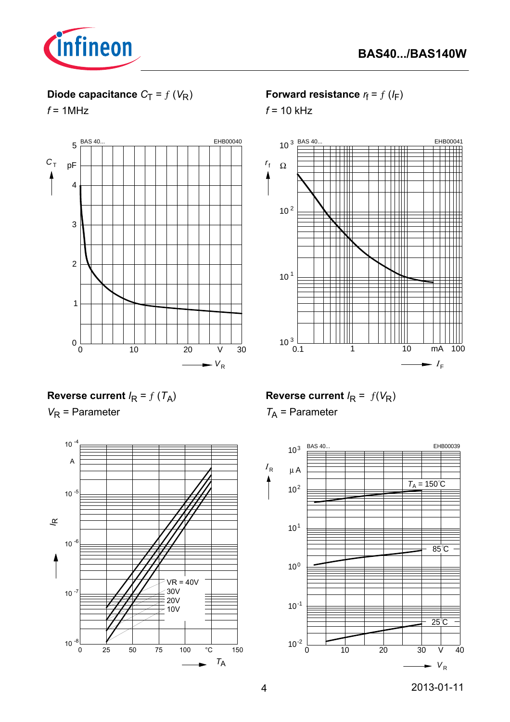

## **Diode capacitance**  $C_T = f(V_R)$

 $f = 1$ MHz



**Forward resistance**  $r_f = f(l_F)$ 

 $f = 10$  kHz



**Reverse current**  $I_R = f(T_A)$ 

*V*<sub>R</sub> = Parameter



**Reverse current**  $I_R = f(V_R)$ 

*T*A = Parameter

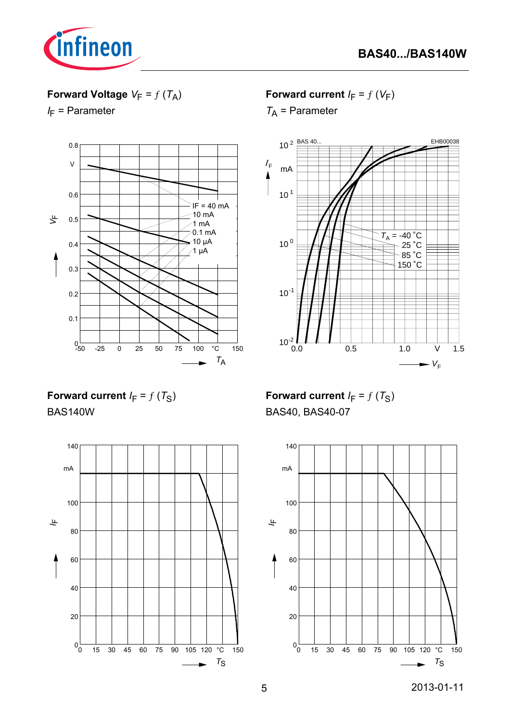



## **Forward Voltage**  $V_F = f(T_A)$

*I*<sub>F</sub> = Parameter



**Forward current**  $I_F = f(V_F)$ 

*T*A = Parameter



**Forward current**  $I_F = f(T_S)$ BAS140W



**Forward current**  $I_F = f(T_S)$ BAS40, BAS40-07

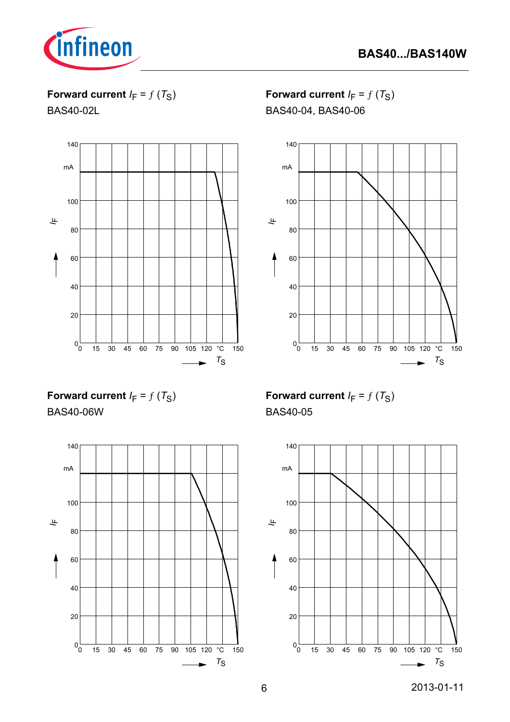

**Forward current**  $I_F = f(T_S)$ 

BAS40-02L



**Forward current**  $I_F = f(T_S)$ BAS40-04, BAS40-06



**Forward current**  $I_F = f(T_S)$ BAS40-06W



**Forward current**  $I_F = f(T_S)$ BAS40-05

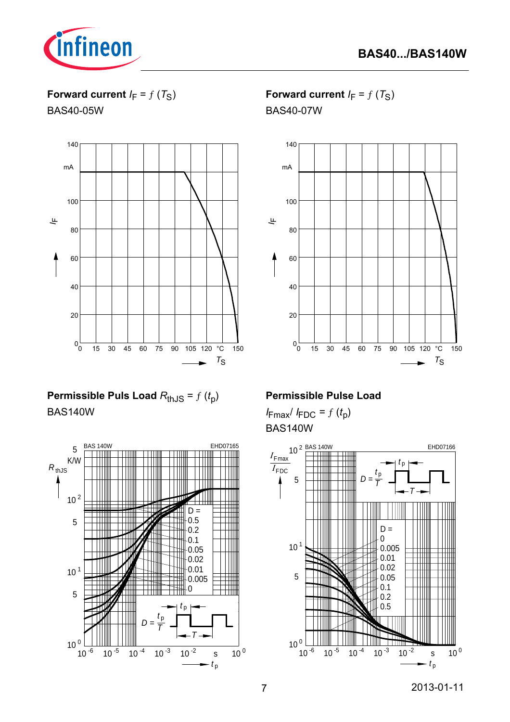

**Forward current**  $I_F = f(T_S)$ 

BAS40-05W



**Permissible Puls Load**  $R_{th,JS} = f(t_0)$ BAS140W



**Forward current**  $I_F = f(T_S)$ BAS40-07W



#### **Permissible Pulse Load**

 $I_{\text{Fmax}}/I_{\text{FDC}} = f(t_p)$ BAS140W

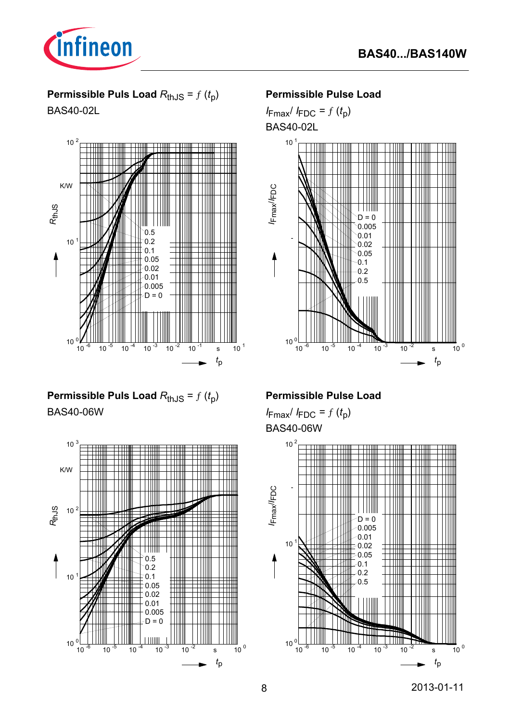

## **Permissible Puls Load**  $R_{th,JS} = f(t_p)$

BAS40-02L



## **Permissible Puls Load**  $R_{th,JS} = f(t_p)$ BAS40-06W



#### **Permissible Pulse Load**

 $I_{\text{Fmax}}/I_{\text{FDC}} = f(t_p)$ BAS40-02L



### **Permissible Pulse Load**

 $I_{\text{Fmax}}/I_{\text{FDC}} = f(t_p)$ BAS40-06W

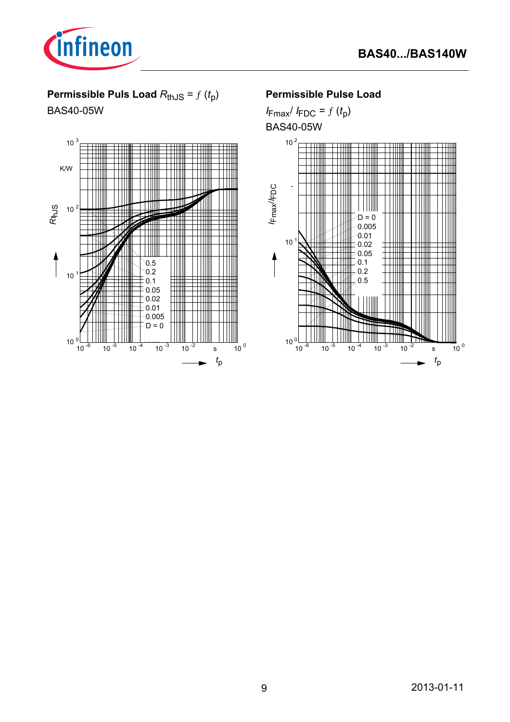

# **Permissible Puls Load**  $R_{th,JS} = f(t_p)$

BAS40-05W



#### **Permissible Pulse Load**

 $I_{\text{Fmax}}/I_{\text{FDC}} = f(t_p)$ BAS40-05W

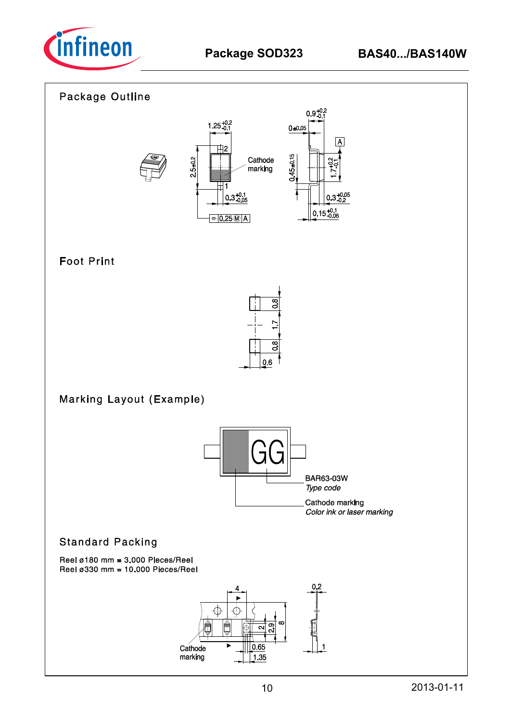

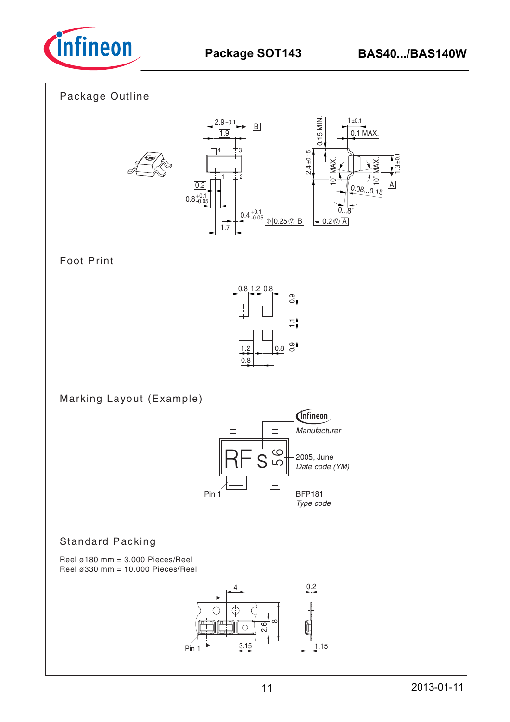

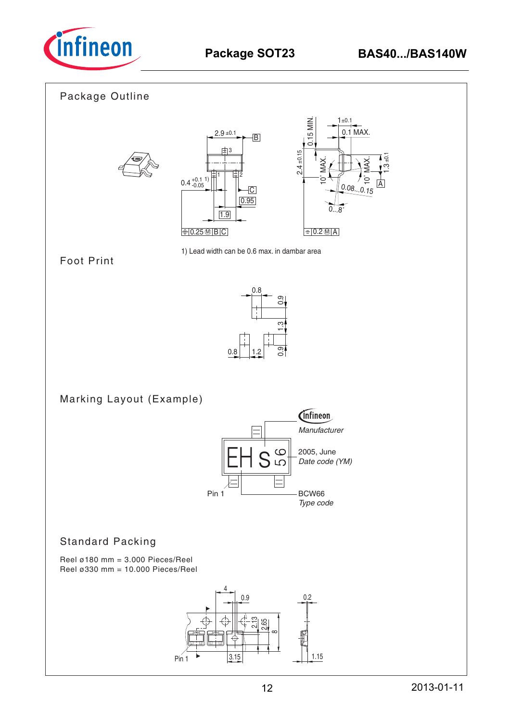

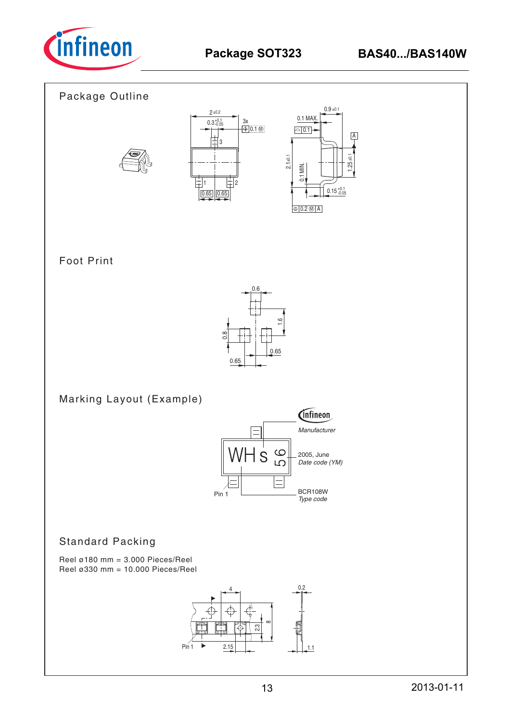

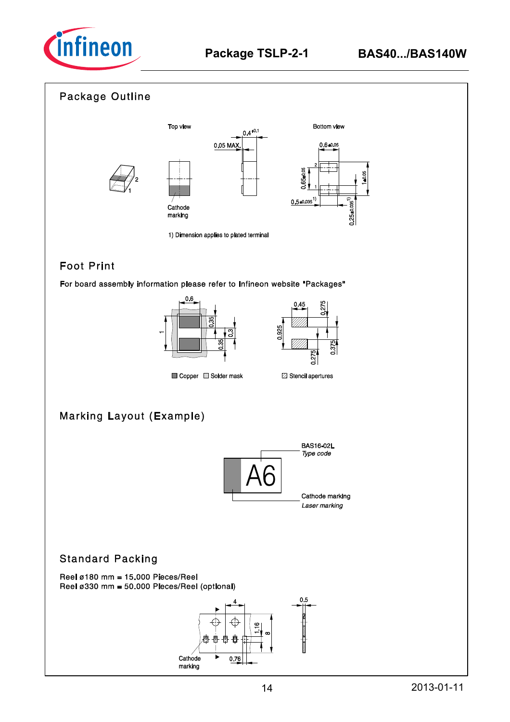